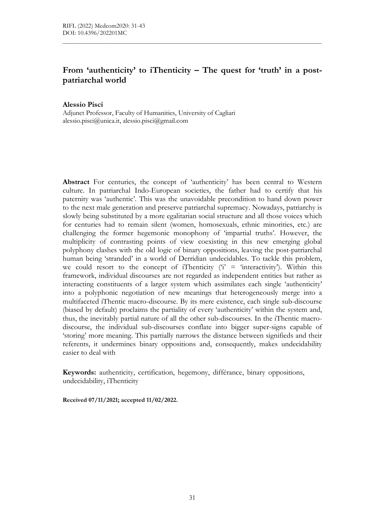# From 'authenticity' to iThenticity – The quest for 'truth' in a postpatriarchal world

 $\mathcal{L}_\mathcal{L} = \{ \mathcal{L}_\mathcal{L} = \{ \mathcal{L}_\mathcal{L} = \{ \mathcal{L}_\mathcal{L} = \{ \mathcal{L}_\mathcal{L} = \{ \mathcal{L}_\mathcal{L} = \{ \mathcal{L}_\mathcal{L} = \{ \mathcal{L}_\mathcal{L} = \{ \mathcal{L}_\mathcal{L} = \{ \mathcal{L}_\mathcal{L} = \{ \mathcal{L}_\mathcal{L} = \{ \mathcal{L}_\mathcal{L} = \{ \mathcal{L}_\mathcal{L} = \{ \mathcal{L}_\mathcal{L} = \{ \mathcal{L}_\mathcal{$ 

#### Alessio Pisci

Adjunct Professor, Faculty of Humanities, University of Cagliari alessio.pisci@unica.it, alessio.pisci@gmail.com

Abstract For centuries, the concept of 'authenticity' has been central to Western culture. In patriarchal Indo-European societies, the father had to certify that his paternity was 'authentic'. This was the unavoidable precondition to hand down power to the next male generation and preserve patriarchal supremacy. Nowadays, patriarchy is slowly being substituted by a more egalitarian social structure and all those voices which for centuries had to remain silent (women, homosexuals, ethnic minorities, etc.) are challenging the former hegemonic monophony of 'impartial truths'. However, the multiplicity of contrasting points of view coexisting in this new emerging global polyphony clashes with the old logic of binary oppositions, leaving the post-patriarchal human being 'stranded' in a world of Derridian undecidables. To tackle this problem, we could resort to the concept of iThenticity ( $\hat{i}$  = 'interactivity'). Within this framework, individual discourses are not regarded as independent entities but rather as interacting constituents of a larger system which assimilates each single 'authenticity' into a polyphonic negotiation of new meanings that heterogeneously merge into a multifaceted iThentic macro-discourse. By its mere existence, each single sub-discourse (biased by default) proclaims the partiality of every 'authenticity' within the system and, thus, the inevitably partial nature of all the other sub-discourses. In the iThentic macrodiscourse, the individual sub-discourses conflate into bigger super-signs capable of 'storing' more meaning. This partially narrows the distance between signifieds and their referents, it undermines binary oppositions and, consequently, makes undecidability easier to deal with

Keywords: authenticity, certification, hegemony, différance, binary oppositions, undecidability, iThenticity

Received 07/11/2021; accepted 11/02/2022.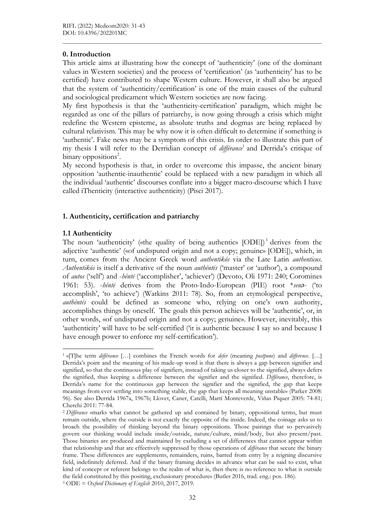# 0. Introduction

This article aims at illustrating how the concept of 'authenticity' (one of the dominant values in Western societies) and the process of 'certification' (as 'authenticity' has to be certified) have contributed to shape Western culture. However, it shall also be argued that the system of 'authenticity/certification' is one of the main causes of the cultural and sociological predicament which Western societies are now facing.

 $\mathcal{L}_\mathcal{L} = \{ \mathcal{L}_\mathcal{L} = \{ \mathcal{L}_\mathcal{L} = \{ \mathcal{L}_\mathcal{L} = \{ \mathcal{L}_\mathcal{L} = \{ \mathcal{L}_\mathcal{L} = \{ \mathcal{L}_\mathcal{L} = \{ \mathcal{L}_\mathcal{L} = \{ \mathcal{L}_\mathcal{L} = \{ \mathcal{L}_\mathcal{L} = \{ \mathcal{L}_\mathcal{L} = \{ \mathcal{L}_\mathcal{L} = \{ \mathcal{L}_\mathcal{L} = \{ \mathcal{L}_\mathcal{L} = \{ \mathcal{L}_\mathcal{$ 

My first hypothesis is that the 'authenticity-certification' paradigm, which might be regarded as one of the pillars of patriarchy, is now going through a crisis which might redefine the Western episteme, as absolute truths and dogmas are being replaced by cultural relativism. This may be why now it is often difficult to determine if something is 'authentic'. Fake news may be a symptom of this crisis. In order to illustrate this part of my thesis I will refer to the Derridian concept of différance<sup>1</sup> and Derrida's critique of binary oppositions<sup>2</sup>.

My second hypothesis is that, in order to overcome this impasse, the ancient binary opposition 'authentic-inauthentic' could be replaced with a new paradigm in which all the individual 'authentic' discourses conflate into a bigger macro-discourse which I have called iThenticity (interactive authenticity) (Pisci 2017).

# 1. Authenticity, certification and patriarchy

#### 1.1 Authenticity

1

The noun 'authenticity' («the quality of being authentic»  $[ODE]$ <sup>3</sup> derives from the adjective 'authentic' («of undisputed origin and not a copy; genuine» [ODE]), which, in turn, comes from the Ancient Greek word *authentikós* via the Late Latin *authenticus*. Authentikós is itself a derivative of the noun *authéntēs* ('master' or 'author'), a compound of autos ('self') and -héntē ('accomplisher', 'achiever') (Devoto, Oli 1971: 240; Coromines 1961: 53). -héntē derives from the Proto-Indo-European (PIE) root \*senə- ('to accomplish', 'to achieve') (Watkins 2011: 78). So, from an etymological perspective, authéntēs could be defined as someone who, relying on one's own authority, accomplishes things by oneself. The goals this person achieves will be 'authentic', or, in other words, «of undisputed origin and not a copy; genuine». However, inevitably, this 'authenticity' will have to be self-certified ('it is authentic because I say so and because I have enough power to enforce my self-certification').

<sup>&</sup>lt;sup>1</sup> «[T]he term *différance* [...] combines the French words for *defer* (meaning *postpone*) and *difference*. [...] Derrida's point and the meaning of his made-up word is that there is always a gap between signifier and signified, so that the continuous play of signifiers, instead of taking us closer to the signified, always defers the signified, thus keeping a difference between the signifier and the signified. Différance, therefore, is Derrida's name for the continuous gap between the signifier and the signified, the gap that keeps meanings from ever settling into something stable, the gap that keeps all meaning unstable» (Parker 2008: 96). See also Derrida 1967a, 1967b; Llovet, Caner, Catelli, Martí Monteverde, Viñas Piquer 2005: 74-81; Cherchi 2011: 77-84.

<sup>&</sup>lt;sup>2</sup> Différance «marks what cannot be gathered up and contained by binary, oppositional terms, but must remain outside, where the outside is not exactly the opposite of the inside. Indeed, the coinage asks us to broach the possibility of thinking beyond the binary oppositions. Those pairings that so pervasively govern our thinking would include inside/outside, nature/culture, mind/body, but also present/past. Those binaries are produced and maintained by excluding a set of differences that cannot appear within that relationship and that are effectively suppressed by those operations of *différance* that secure the binary frame. These differences are supplements, remainders, ruins, barred from entry by a reigning discursive field, indefinitely deferred. And if the binary framing decides in advance what can be said to exist, what kind of concept or referent belongs to the realm of what is, then there is no reference to what is outside the field constituted by this positing, exclusionary procedure» (Butler 2016, trad. eng.: pos. 186).  $3 \text{ ODE} = \text{Ox}$ ford Dictionary of English 2010, 2017, 2019.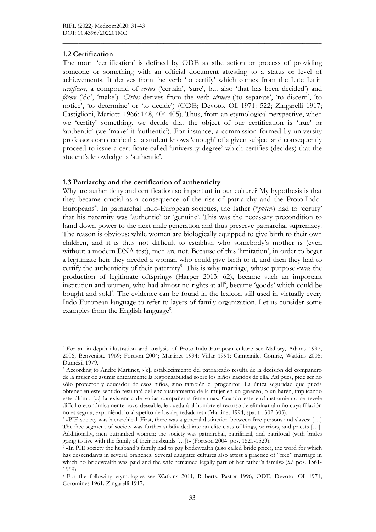## 1.2 Certification

-

The noun 'certification' is defined by ODE as «the action or process of providing someone or something with an official document attesting to a status or level of achievement». It derives from the verb 'to certify' which comes from the Late Latin certificare, a compound of cĕrtus ('certain', 'sure', but also 'that has been decided') and făcere ('do', 'make'). Cĕrtus derives from the verb cĕrnere ('to separate', 'to discern', 'to notice', 'to determine' or 'to decide') (ODE; Devoto, Oli 1971: 522; Zingarelli 1917; Castiglioni, Mariotti 1966: 148, 404-405). Thus, from an etymological perspective, when we 'certify' something, we decide that the object of our certification is 'true' or 'authentic' (we 'make' it 'authentic'). For instance, a commission formed by university professors can decide that a student knows 'enough' of a given subject and consequently proceed to issue a certificate called 'university degree' which certifies (decides) that the student's knowledge is 'authentic'.

 $\mathcal{L}_\mathcal{L} = \{ \mathcal{L}_\mathcal{L} = \{ \mathcal{L}_\mathcal{L} = \{ \mathcal{L}_\mathcal{L} = \{ \mathcal{L}_\mathcal{L} = \{ \mathcal{L}_\mathcal{L} = \{ \mathcal{L}_\mathcal{L} = \{ \mathcal{L}_\mathcal{L} = \{ \mathcal{L}_\mathcal{L} = \{ \mathcal{L}_\mathcal{L} = \{ \mathcal{L}_\mathcal{L} = \{ \mathcal{L}_\mathcal{L} = \{ \mathcal{L}_\mathcal{L} = \{ \mathcal{L}_\mathcal{L} = \{ \mathcal{L}_\mathcal{$ 

#### 1.3 Patriarchy and the certification of authenticity

Why are authenticity and certification so important in our culture? My hypothesis is that they became crucial as a consequence of the rise of patriarchy and the Proto-Indo-Europeans<sup>4</sup>. In patriarchal Indo-European societies, the father (\*pater-) had to 'certify' that his paternity was 'authentic' or 'genuine'. This was the necessary precondition to hand down power to the next male generation and thus preserve patriarchal supremacy. The reason is obvious: while women are biologically equipped to give birth to their own children, and it is thus not difficult to establish who somebody's mother is (even without a modern DNA test), men are not. Because of this 'limitation', in order to beget a legitimate heir they needed a woman who could give birth to it, and then they had to certify the authenticity of their paternity<sup>5</sup>. This is why marriage, whose purpose «was the production of legitimate offspring» (Harper 2013: 62), became such an important institution and women, who had almost no rights at all<sup>6</sup>, became 'goods' which could be bought and sold<sup>7</sup>. The evidence can be found in the lexicon still used in virtually every Indo-European language to refer to layers of family organization. Let us consider some examples from the English language<sup>8</sup>.

<sup>4</sup> For an in-depth illustration and analysis of Proto-Indo-European culture see Mallory, Adams 1997, 2006; Benveniste 1969; Fortson 2004; Martinet 1994; Villar 1991; Campanile, Comrie, Watkins 2005; Dumézil 1979.

<sup>5</sup> According to André Martinet, «[e]l establecimiento del patriarcado resulta de la decisión del compañero de la mujer de asumir enteramente la responsabilidad sobre los niños nacidos de ella. Así pues, pide ser no sólo protector y educador de esos niños, sino también el progenitor. La única seguridad que pueda obtener en este sentido resultará del enclaustramiento de la mujer en un gineceo, o un harén, implicando este último [...] la existencia de varias compañeras femeninas. Cuando este enclaustramiento se revele difícil o económicamente poco deseable, le quedará al hombre el recurso de eliminar al niño cuya filiación no es segura, exponiéndolo al apetito de los depredadores» (Martinet 1994, spa. tr: 302-303).

<sup>6</sup> «PIE society was hierarchical. First, there was a general distinction between free persons and slaves; […] The free segment of society was further subdivided into an elite class of kings, warriors, and priests […]. Additionally, men outranked women; the society was patriarchal, patrilineal, and patrilocal (with brides going to live with the family of their husbands […])» (Fortson 2004: pos. 1521-1529).

<sup>7</sup> «In PIE society the husband's family had to pay bridewealth (also called bride price), the word for which has descendants in several branches. Several daughter cultures also attest a practice of "free" marriage in which no bridewealth was paid and the wife remained legally part of her father's family» (ivi: pos. 1561-1569).

<sup>8</sup> For the following etymologies see Watkins 2011; Roberts, Pastor 1996; ODE; Devoto, Oli 1971; Coromines 1961; Zingarelli 1917.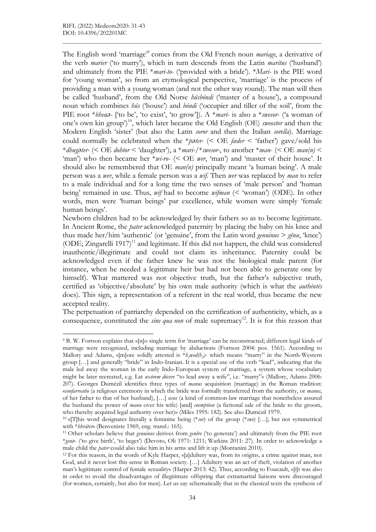-

The English word 'marriage" comes from the Old French noun *mariage*, a derivative of the verb *marier* ('to marry'), which in turn descends from the Latin *maritus* ('husband') and ultimately from the PIE \**mari-to-* ('provided with a bride'). \**Mari-* is the PIE word for 'young woman', so from an etymological perspective, 'marriage' is the process of providing a man with a young woman (and not the other way round). The man will then be called 'husband', from the Old Norse húsbóndi ('master of a house'), a compound noun which combines hús ('house') and *bóndi* ('occupier and tiller of the soil', from the PIE root \*bheua- ['to be', 'to exist', 'to grow']). A \*mari- is also a \*swesor- ('a woman of one's own kin group')<sup>10</sup>, which later became the Old English (OE) sweester and then the Modern English 'sister' (but also the Latin soror and then the Italian sorella). Marriage could normally be celebrated when the \*pater- (< OE fader < 'father') gave/sold his \*dhugater- (< OE dohtor < 'daughter'), a \*mari-/\*swesor-, to another \*man- (< OE man(n) < 'man') who then became her  $*\overline{w}$ - $\pi$ - (< OE wer, 'man') and 'master of their house'. It should also be remembered that OE  $man(n)$  principally meant 'a human being'. A male person was a *wer*, while a female person was a *wif*. Then *wer* was replaced by *man* to refer to a male individual and for a long time the two senses of 'male person' and 'human being' remained in use. Thus, wif had to become wifman (< 'woman') (ODE). In other words, men were 'human beings' par excellence, while women were simply 'female human beings'.

 $\mathcal{L}_\mathcal{L} = \{ \mathcal{L}_\mathcal{L} = \{ \mathcal{L}_\mathcal{L} = \{ \mathcal{L}_\mathcal{L} = \{ \mathcal{L}_\mathcal{L} = \{ \mathcal{L}_\mathcal{L} = \{ \mathcal{L}_\mathcal{L} = \{ \mathcal{L}_\mathcal{L} = \{ \mathcal{L}_\mathcal{L} = \{ \mathcal{L}_\mathcal{L} = \{ \mathcal{L}_\mathcal{L} = \{ \mathcal{L}_\mathcal{L} = \{ \mathcal{L}_\mathcal{L} = \{ \mathcal{L}_\mathcal{L} = \{ \mathcal{L}_\mathcal{$ 

Newborn children had to be acknowledged by their fathers so as to become legitimate. In Ancient Rome, the *pater* acknowledged paternity by placing the baby on his knee and thus made her/him 'authentic' (or 'genuine', from the Latin word *genuinus*  $>$  *gěnu*, 'knee') (ODE; Zingarelli  $1917$ )<sup>11</sup> and legitimate. If this did not happen, the child was considered inauthentic/illegitimate and could not claim its inheritance. Paternity could be acknowledged even if the father knew he was not the biological male parent (for instance, when he needed a legitimate heir but had not been able to generate one by himself). What mattered was not objective truth, but the father's subjective truth, certified as 'objective/absolute' by his own male authority (which is what the authéntēs does). This sign, a representation of a referent in the real world, thus became the new accepted reality.

The perpetuation of patriarchy depended on the certification of authenticity, which, as a consequence, constituted the *sine qua non* of male supremacy<sup>12</sup>. It is for this reason that

<sup>&</sup>lt;sup>9</sup> B. W. Fortson explains that «[n]o single term for 'marriage' can be reconstructed; different legal kinds of marriage were recognized, including marriage by abduction» (Fortson 2004: pos. 1561). According to Mallory and Adams, «[m]ore solidly attested is \*h<sub>2</sub>wed(h<sub>2</sub>)- which means "marry" in the North-Western group […] and generally "bride" in Indo-Iranian. It is a special use of the verb "lead", indicating that the male led away the woman in the early Indo-European system of marriage, a system whose vocabulary might be later recreated, e.g. Lat uxorem dūcere "to lead away a wife", i.e. "marry"» (Mallory, Adams 2006: 207). Georges Dumézil identifies three types of manus acquisition (marriage) in the Roman tradition: «confarreatio (a religious ceremony in which the bride was formally transferred from the authority, or manus, of her father to that of her husband), […] usus (a kind of common-law marriage that nonetheless assured the husband the power of *manu* over his wife) [and] *coemption* (a fictional sale of the bride to the groom, who thereby acquired legal authority over her)» (Miles 1995: 182). See also Dumézil 1979.

<sup>&</sup>lt;sup>10</sup> «[T]his word designates literally a feminine being (\*sor) of the group (\*swe) [...], but not symmetrical with \*bhrāter» (Benveniste 1969, eng. transl.: 165).

<sup>&</sup>lt;sup>11</sup> Other scholars believe that genuinus derives from geněre ('to generate') and ultimately from the PIE root \*genə- ('to give birth', 'to beget') (Devoto, Oli 1971: 1211; Watkins 2011: 27). In order to acknowledge a male child the pater could also take him in his arms and lift it up (Montanini 2010).

<sup>12</sup> For this reason, in the words of Kyle Harper, «[a]dultery was, from its origins, a crime against man, not God, and it never lost this sense in Roman society. […] Adultery was an act of theft, violation of another man's legitimate control of female sexuality» (Harper 2013: 42). Thus, according to Foucault, «[i]t was also in order to avoid the disadvantages of illegitimate offspring that extramarital liaisons were discouraged (for women, certainly, but also for men). Let us say schematically that in the classical texts the synthesis of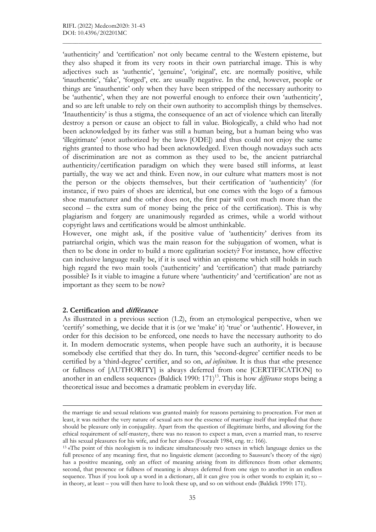'authenticity' and 'certification' not only became central to the Western episteme, but they also shaped it from its very roots in their own patriarchal image. This is why adjectives such as 'authentic', 'genuine', 'original', etc. are normally positive, while 'inauthentic', 'fake', 'forged', etc. are usually negative. In the end, however, people or things are 'inauthentic' only when they have been stripped of the necessary authority to be 'authentic', when they are not powerful enough to enforce their own 'authenticity', and so are left unable to rely on their own authority to accomplish things by themselves. 'Inauthenticity' is thus a stigma, the consequence of an act of violence which can literally destroy a person or cause an object to fall in value. Biologically, a child who had not been acknowledged by its father was still a human being, but a human being who was 'illegitimate' («not authorized by the law» [ODE]) and thus could not enjoy the same rights granted to those who had been acknowledged. Even though nowadays such acts of discrimination are not as common as they used to be, the ancient patriarchal authenticity/certification paradigm on which they were based still informs, at least partially, the way we act and think. Even now, in our culture what matters most is not the person or the objects themselves, but their certification of 'authenticity' (for instance, if two pairs of shoes are identical, but one comes with the logo of a famous shoe manufacturer and the other does not, the first pair will cost much more than the second – the extra sum of money being the price of the certification). This is why plagiarism and forgery are unanimously regarded as crimes, while a world without copyright laws and certifications would be almost unthinkable.

 $\mathcal{L}_\mathcal{L} = \{ \mathcal{L}_\mathcal{L} = \{ \mathcal{L}_\mathcal{L} = \{ \mathcal{L}_\mathcal{L} = \{ \mathcal{L}_\mathcal{L} = \{ \mathcal{L}_\mathcal{L} = \{ \mathcal{L}_\mathcal{L} = \{ \mathcal{L}_\mathcal{L} = \{ \mathcal{L}_\mathcal{L} = \{ \mathcal{L}_\mathcal{L} = \{ \mathcal{L}_\mathcal{L} = \{ \mathcal{L}_\mathcal{L} = \{ \mathcal{L}_\mathcal{L} = \{ \mathcal{L}_\mathcal{L} = \{ \mathcal{L}_\mathcal{$ 

However, one might ask, if the positive value of 'authenticity' derives from its patriarchal origin, which was the main reason for the subjugation of women, what is then to be done in order to build a more egalitarian society? For instance, how effective can inclusive language really be, if it is used within an episteme which still holds in such high regard the two main tools ('authenticity' and 'certification') that made patriarchy possible? Is it viable to imagine a future where 'authenticity' and 'certification' are not as important as they seem to be now?

#### 2. Certification and différance

-

As illustrated in a previous section (1.2), from an etymological perspective, when we 'certify' something, we decide that it is (or we 'make' it) 'true' or 'authentic'. However, in order for this decision to be enforced, one needs to have the necessary authority to do it. In modern democratic systems, when people have such an authority, it is because somebody else certified that they do. In turn, this 'second-degree' certifier needs to be certified by a 'third-degree' certifier, and so on, *ad infinitum*. It is thus that «the presence or fullness of [AUTHORITY] is always deferred from one [CERTIFICATION] to another in an endless sequence» (Baldick 1990:  $171$ )<sup>13</sup>. This is how *différance* stops being a theoretical issue and becomes a dramatic problem in everyday life.

the marriage tie and sexual relations was granted mainly for reasons pertaining to procreation. For men at least, it was neither the very nature of sexual acts nor the essence of marriage itself that implied that there should be pleasure only in conjugality. Apart from the question of illegitimate births, and allowing for the ethical requirement of self-mastery, there was no reason to expect a man, even a married man, to reserve all his sexual pleasures for his wife, and for her alone» (Foucault 1984, eng. tr.: 166).

<sup>13</sup> «The point of this neologism is to indicate simultaneously two senses in which language denies us the full presence of any meaning: first, that no linguistic element (according to Saussure's theory of the sign) has a positive meaning, only an effect of meaning arising from its differences from other elements; second, that presence or fullness of meaning is always deferred from one sign to another in an endless sequence. Thus if you look up a word in a dictionary, all it can give you is other words to explain it; so – in theory, at least – you will then have to look these up, and so on without end» (Baldick 1990: 171).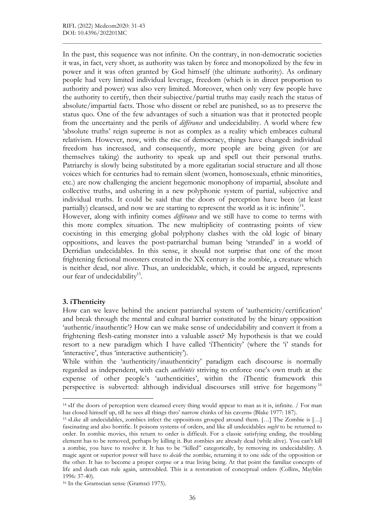In the past, this sequence was not infinite. On the contrary, in non-democratic societies it was, in fact, very short, as authority was taken by force and monopolized by the few in power and it was often granted by God himself (the ultimate authority). As ordinary people had very limited individual leverage, freedom (which is in direct proportion to authority and power) was also very limited. Moreover, when only very few people have the authority to certify, then their subjective/partial truths may easily reach the status of absolute/impartial facts. Those who dissent or rebel are punished, so as to preserve the status quo. One of the few advantages of such a situation was that it protected people from the uncertainty and the perils of différance and undecidability. A world where few 'absolute truths' reign supreme is not as complex as a reality which embraces cultural relativism. However, now, with the rise of democracy, things have changed: individual freedom has increased, and consequently, more people are being given (or are themselves taking) the authority to speak up and spell out their personal truths. Patriarchy is slowly being substituted by a more egalitarian social structure and all those voices which for centuries had to remain silent (women, homosexuals, ethnic minorities, etc.) are now challenging the ancient hegemonic monophony of impartial, absolute and collective truths, and ushering in a new polyphonic system of partial, subjective and individual truths. It could be said that the doors of perception have been (at least partially) cleansed, and now we are starting to represent the world as it is: infinite<sup>14</sup>.

 $\mathcal{L}_\mathcal{L} = \{ \mathcal{L}_\mathcal{L} = \{ \mathcal{L}_\mathcal{L} = \{ \mathcal{L}_\mathcal{L} = \{ \mathcal{L}_\mathcal{L} = \{ \mathcal{L}_\mathcal{L} = \{ \mathcal{L}_\mathcal{L} = \{ \mathcal{L}_\mathcal{L} = \{ \mathcal{L}_\mathcal{L} = \{ \mathcal{L}_\mathcal{L} = \{ \mathcal{L}_\mathcal{L} = \{ \mathcal{L}_\mathcal{L} = \{ \mathcal{L}_\mathcal{L} = \{ \mathcal{L}_\mathcal{L} = \{ \mathcal{L}_\mathcal{$ 

However, along with infinity comes *différance* and we still have to come to terms with this more complex situation. The new multiplicity of contrasting points of view coexisting in this emerging global polyphony clashes with the old logic of binary oppositions, and leaves the post-patriarchal human being 'stranded' in a world of Derridian undecidables. In this sense, it should not surprise that one of the most frightening fictional monsters created in the XX century is the zombie, a creature which is neither dead, nor alive. Thus, an undecidable, which, it could be argued, represents our fear of undecidability<sup>15</sup>.

# 3. iThenticity

-

How can we leave behind the ancient patriarchal system of 'authenticity/certification' and break through the mental and cultural barrier constituted by the binary opposition 'authentic/inauthentic'? How can we make sense of undecidability and convert it from a frightening flesh-eating monster into a valuable asset? My hypothesis is that we could resort to a new paradigm which I have called 'iThenticity' (where the 'i' stands for 'interactive', thus 'interactive authenticity').

While within the 'authenticity/inauthenticity' paradigm each discourse is normally regarded as independent, with each *authéntes* striving to enforce one's own truth at the expense of other people's 'authenticities', within the iThentic framework this perspective is subverted: although individual discourses still strive for hegemony <sup>16</sup>

<sup>14</sup> «If the doors of perception were cleansed every thing would appear to man as it is, infinite. / For man has closed himself up, till he sees all things thro' narrow chinks of his cavern» (Blake 1977: 187).

<sup>15</sup> «Like all undecidables, zombies infect the oppositions grouped around them. […] The Zombie is […] fascinating and also horrific. It poisons systems of orders, and like all undecidables ought to be returned to order. In zombie movies, this return to order is difficult. For a classic satisfying ending, the troubling element has to be removed, perhaps by killing it. But zombies are already dead (while alive). You can't kill a zombie, you have to resolve it. It has to be "killed" categorically, by removing its undecidability. A magic agent or superior power will have to *decide* the zombie, returning it to one side of the opposition or the other. It has to become a proper corpse or a true living being. At that point the familiar concepts of life and death can rule again, untroubled. This is a restoration of conceptual order» (Collins, Mayblin 1996: 37-40).

<sup>&</sup>lt;sup>16</sup> In the Gramscian sense (Gramsci 1975).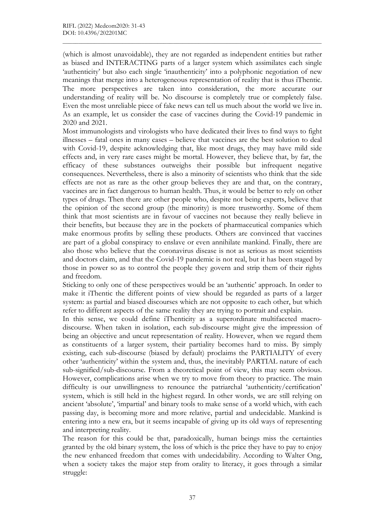(which is almost unavoidable), they are not regarded as independent entities but rather as biased and INTERACTING parts of a larger system which assimilates each single 'authenticity' but also each single 'inauthenticity' into a polyphonic negotiation of new meanings that merge into a heterogeneous representation of reality that is thus iThentic. The more perspectives are taken into consideration, the more accurate our understanding of reality will be. No discourse is completely true or completely false. Even the most unreliable piece of fake news can tell us much about the world we live in. As an example, let us consider the case of vaccines during the Covid-19 pandemic in 2020 and 2021.

 $\mathcal{L}_\mathcal{L} = \{ \mathcal{L}_\mathcal{L} = \{ \mathcal{L}_\mathcal{L} = \{ \mathcal{L}_\mathcal{L} = \{ \mathcal{L}_\mathcal{L} = \{ \mathcal{L}_\mathcal{L} = \{ \mathcal{L}_\mathcal{L} = \{ \mathcal{L}_\mathcal{L} = \{ \mathcal{L}_\mathcal{L} = \{ \mathcal{L}_\mathcal{L} = \{ \mathcal{L}_\mathcal{L} = \{ \mathcal{L}_\mathcal{L} = \{ \mathcal{L}_\mathcal{L} = \{ \mathcal{L}_\mathcal{L} = \{ \mathcal{L}_\mathcal{$ 

Most immunologists and virologists who have dedicated their lives to find ways to fight illnesses – fatal ones in many cases – believe that vaccines are the best solution to deal with Covid-19, despite acknowledging that, like most drugs, they may have mild side effects and, in very rare cases might be mortal. However, they believe that, by far, the efficacy of these substances outweighs their possible but infrequent negative consequences. Nevertheless, there is also a minority of scientists who think that the side effects are not as rare as the other group believes they are and that, on the contrary, vaccines are in fact dangerous to human health. Thus, it would be better to rely on other types of drugs. Then there are other people who, despite not being experts, believe that the opinion of the second group (the minority) is more trustworthy. Some of them think that most scientists are in favour of vaccines not because they really believe in their benefits, but because they are in the pockets of pharmaceutical companies which make enormous profits by selling these products. Others are convinced that vaccines are part of a global conspiracy to enslave or even annihilate mankind. Finally, there are also those who believe that the coronavirus disease is not as serious as most scientists and doctors claim, and that the Covid-19 pandemic is not real, but it has been staged by those in power so as to control the people they govern and strip them of their rights and freedom.

Sticking to only one of these perspectives would be an 'authentic' approach. In order to make it iThentic the different points of view should be regarded as parts of a larger system: as partial and biased discourses which are not opposite to each other, but which refer to different aspects of the same reality they are trying to portrait and explain.

In this sense, we could define iThenticity as a superordinate multifaceted macrodiscourse. When taken in isolation, each sub-discourse might give the impression of being an objective and uncut representation of reality. However, when we regard them as constituents of a larger system, their partiality becomes hard to miss. By simply existing, each sub-discourse (biased by default) proclaims the PARTIALITY of every other 'authenticity' within the system and, thus, the inevitably PARTIAL nature of each sub-signified/sub-discourse. From a theoretical point of view, this may seem obvious. However, complications arise when we try to move from theory to practice. The main difficulty is our unwillingness to renounce the patriarchal 'authenticity/certification' system, which is still held in the highest regard. In other words, we are still relying on ancient 'absolute', 'impartial' and binary tools to make sense of a world which, with each passing day, is becoming more and more relative, partial and undecidable. Mankind is entering into a new era, but it seems incapable of giving up its old ways of representing and interpreting reality.

The reason for this could be that, paradoxically, human beings miss the certainties granted by the old binary system, the loss of which is the price they have to pay to enjoy the new enhanced freedom that comes with undecidability. According to Walter Ong, when a society takes the major step from orality to literacy, it goes through a similar struggle: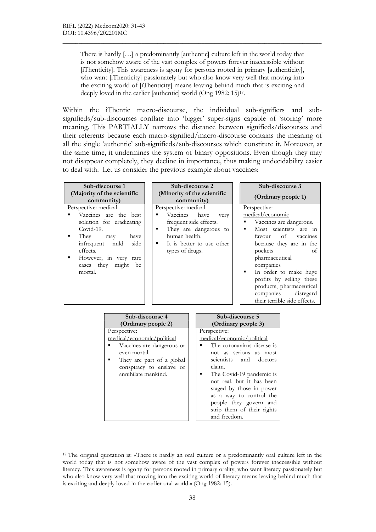-

There is hardly […] a predominantly [authentic] culture left in the world today that is not somehow aware of the vast complex of powers forever inaccessible without [iThenticity]. This awareness is agony for persons rooted in primary [authenticity], who want [iThenticity] passionately but who also know very well that moving into the exciting world of [iThenticity] means leaving behind much that is exciting and deeply loved in the earlier [authentic] world (Ong 1982: 15)<sup>17</sup>.

 $\mathcal{L}_\mathcal{L} = \{ \mathcal{L}_\mathcal{L} = \{ \mathcal{L}_\mathcal{L} = \{ \mathcal{L}_\mathcal{L} = \{ \mathcal{L}_\mathcal{L} = \{ \mathcal{L}_\mathcal{L} = \{ \mathcal{L}_\mathcal{L} = \{ \mathcal{L}_\mathcal{L} = \{ \mathcal{L}_\mathcal{L} = \{ \mathcal{L}_\mathcal{L} = \{ \mathcal{L}_\mathcal{L} = \{ \mathcal{L}_\mathcal{L} = \{ \mathcal{L}_\mathcal{L} = \{ \mathcal{L}_\mathcal{L} = \{ \mathcal{L}_\mathcal{$ 

Within the iThentic macro-discourse, the individual sub-signifiers and subsignifieds/sub-discourses conflate into 'bigger' super-signs capable of 'storing' more meaning. This PARTIALLY narrows the distance between signifieds/discourses and their referents because each macro-signified/macro-discourse contains the meaning of all the single 'authentic' sub-signifieds/sub-discourses which constitute it. Moreover, at the same time, it undermines the system of binary oppositions. Even though they may not disappear completely, they decline in importance, thus making undecidability easier to deal with. Let us consider the previous example about vaccines:

| Sub-discourse 1                                                                                                                                                                                                    | Sub-discourse 2                                                                                                                                                             | Sub-discourse 3                                                                                                                                                                                                                                                                                                                   |
|--------------------------------------------------------------------------------------------------------------------------------------------------------------------------------------------------------------------|-----------------------------------------------------------------------------------------------------------------------------------------------------------------------------|-----------------------------------------------------------------------------------------------------------------------------------------------------------------------------------------------------------------------------------------------------------------------------------------------------------------------------------|
| (Majority of the scientific<br>community)                                                                                                                                                                          | (Minority of the scientific<br>community)                                                                                                                                   | (Ordinary people 1)                                                                                                                                                                                                                                                                                                               |
| Perspective: medical<br>Vaccines are the best<br>solution for eradicating<br>$Covid-19$ .<br>They<br>have<br>may<br>side<br>infrequent mild<br>effects.<br>However, in very rare<br>cases they might be<br>mortal. | Perspective: medical<br>Vaccines have<br>very<br>frequent side effects.<br>They are dangerous to<br>٠<br>human health.<br>It is better to use other<br>٠<br>types of drugs. | Perspective:<br>medical/economic<br>Vaccines are dangerous.<br>Most scientists are in<br>favour of vaccines<br>because they are in the<br>pockets<br>of<br>pharmaceutical<br>companies<br>In order to make huge<br>profits by selling these<br>products, pharmaceutical<br>companies<br>disregard<br>their terrible side effects. |

| Sub-discourse 4                                                                                                                                                         | Sub-discourse 5                                                                                                                                                                                                                                                                                                                |  |
|-------------------------------------------------------------------------------------------------------------------------------------------------------------------------|--------------------------------------------------------------------------------------------------------------------------------------------------------------------------------------------------------------------------------------------------------------------------------------------------------------------------------|--|
| (Ordinary people 2)                                                                                                                                                     | (Ordinary people 3)                                                                                                                                                                                                                                                                                                            |  |
| Perspective:<br>medical/economic/political<br>Vaccines are dangerous or<br>even mortal.<br>They are part of a global<br>conspiracy to enslave or<br>annihilate mankind. | Perspective:<br>medical/economic/political<br>The coronavirus disease is<br>not as serious as most<br>scientists and doctors<br>claim.<br>The Covid-19 pandemic is<br>not real, but it has been<br>staged by those in power<br>as a way to control the<br>people they govern and<br>strip them of their rights<br>and freedom. |  |

<sup>&</sup>lt;sup>17</sup> The original quotation is: «There is hardly an oral culture or a predominantly oral culture left in the world today that is not somehow aware of the vast complex of powers forever inaccessible without literacy. This awareness is agony for persons rooted in primary orality, who want literacy passionately but who also know very well that moving into the exciting world of literacy means leaving behind much that is exciting and deeply loved in the earlier oral world.» (Ong 1982: 15).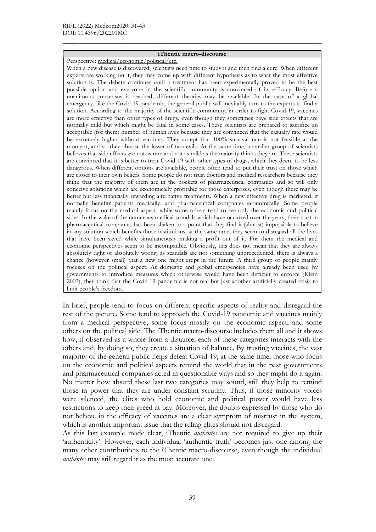#### iThentic macro-discourse

 $\mathcal{L}_\mathcal{L} = \{ \mathcal{L}_\mathcal{L} = \{ \mathcal{L}_\mathcal{L} = \{ \mathcal{L}_\mathcal{L} = \{ \mathcal{L}_\mathcal{L} = \{ \mathcal{L}_\mathcal{L} = \{ \mathcal{L}_\mathcal{L} = \{ \mathcal{L}_\mathcal{L} = \{ \mathcal{L}_\mathcal{L} = \{ \mathcal{L}_\mathcal{L} = \{ \mathcal{L}_\mathcal{L} = \{ \mathcal{L}_\mathcal{L} = \{ \mathcal{L}_\mathcal{L} = \{ \mathcal{L}_\mathcal{L} = \{ \mathcal{L}_\mathcal{$ 

Perspective: medical/economic/political/etc.

When a new disease is discovered, scientists need time to study it and then find a cure. When different experts are working on it, they may come up with different hypothesis as to what the most effective solution is. The debate continues until a treatment has been experimentally proved to be the best possible option and everyone in the scientific community is convinced of its efficacy. Before a unanimous consensus is reached, different theories may be available. In the case of a global emergency, like the Covid-19 pandemic, the general public will inevitably turn to the experts to find a solution. According to the majority of the scientific community, in order to fight Covid-19, vaccines are more effective than other types of drugs, even though they sometimes have side effects that are normally mild but which might be fatal in some cases. These scientists are prepared to sacrifice an acceptable (for them) number of human lives because they are convinced that the casualty rate would be extremely higher without vaccines. They accept that 100% survival rate is not feasible at the moment, and so they choose the lesser of two evils. At the same time, a smaller group of scientists believes that side effects are not as rare and not as mild as the majority thinks they are. These scientists are convinced that it is better to treat Covid-19 with other types of drugs, which they deem to be less dangerous. When different options are available, people often tend to put their trust on those which are closer to their own beliefs. Some people do not trust doctors and medical researchers because they think that the majority of them are in the pockets of pharmaceutical companies and so will only conceive solutions which are economically profitable for those enterprises, even though there may be better but less financially rewarding alternative treatments. When a new effective drug is marketed, it normally benefits patients medically, and pharmaceutical companies economically. Some people mainly focus on the medical aspect, while some others tend to see only the economic and political sides. In the wake of the numerous medical scandals which have occurred over the years, their trust in pharmaceutical companies has been shaken to a point that they find it (almost) impossible to believe in any solution which benefits those institutions; at the same time, they seem to disregard all the lives that have been saved while simultaneously making a profit out of it. For them the medical and economic perspectives seem to be incompatible. Obviously, this does not mean that they are always absolutely right or absolutely wrong: as scandals are not something unprecedented, there is always a chance (however small) that a new one might erupt in the future. A third group of people mainly focuses on the political aspect. As domestic and global emergencies have already been used by governments to introduce measures which otherwise would have been difficult to enforce (Klein 2007), they think that the Covid-19 pandemic is not real but just another artificially created crisis to limit people's freedom.

In brief, people tend to focus on different specific aspects of reality and disregard the rest of the picture. Some tend to approach the Covid-19 pandemic and vaccines mainly from a medical perspective, some focus mostly on the economic aspect, and some others on the political side. The iThentic macro-discourse includes them all and it shows how, if observed as a whole from a distance, each of these categories interacts with the others and, by doing so, they create a situation of balance. By trusting vaccines, the vast majority of the general public helps defeat Covid-19; at the same time, those who focus on the economic and political aspects remind the world that in the past governments and pharmaceutical companies acted in questionable ways and so they might do it again. No matter how absurd these last two categories may sound, still they help to remind those in power that they are under constant scrutiny. Thus, if those minority voices were silenced, the elites who hold economic and political power would have less restrictions to keep their greed at bay. Moreover, the doubts expressed by those who do not believe in the efficacy of vaccines are a clear symptom of mistrust in the system, which is another important issue that the ruling elites should not disregard.

As this last example made clear, iThentic *authéntes* are not required to give up their 'authenticity'. However, each individual 'authentic truth' becomes just one among the many other contributions to the iThentic macro-discourse, even though the individual authéntēs may still regard it as the most accurate one.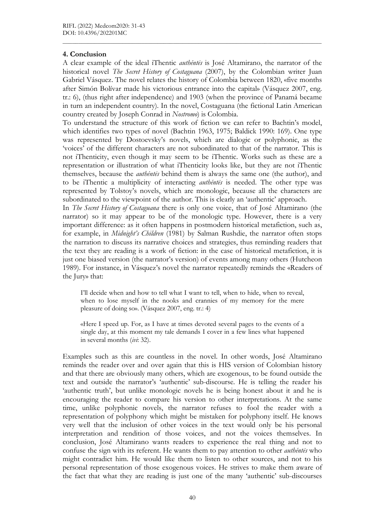# 4. Conclusion

A clear example of the ideal iThentic authéntēs is José Altamirano, the narrator of the historical novel The Secret History of Costaguana (2007), by the Colombian writer Juan Gabriel Vásquez. The novel relates the history of Colombia between 1820, «five months after Simón Bolívar made his victorious entrance into the capital» (Vásquez 2007, eng. tr.: 6), (thus right after independence) and 1903 (when the province of Panamá became in turn an independent country). In the novel, Costaguana (the fictional Latin American country created by Joseph Conrad in Nostromo) is Colombia.

 $\mathcal{L}_\mathcal{L} = \{ \mathcal{L}_\mathcal{L} = \{ \mathcal{L}_\mathcal{L} = \{ \mathcal{L}_\mathcal{L} = \{ \mathcal{L}_\mathcal{L} = \{ \mathcal{L}_\mathcal{L} = \{ \mathcal{L}_\mathcal{L} = \{ \mathcal{L}_\mathcal{L} = \{ \mathcal{L}_\mathcal{L} = \{ \mathcal{L}_\mathcal{L} = \{ \mathcal{L}_\mathcal{L} = \{ \mathcal{L}_\mathcal{L} = \{ \mathcal{L}_\mathcal{L} = \{ \mathcal{L}_\mathcal{L} = \{ \mathcal{L}_\mathcal{$ 

To understand the structure of this work of fiction we can refer to Bachtin's model, which identifies two types of novel (Bachtin 1963, 1975; Baldick 1990: 169). One type was represented by Dostoevsky's novels, which are dialogic or polyphonic, as the 'voices' of the different characters are not subordinated to that of the narrator. This is not iThenticity, even though it may seem to be iThentic. Works such as these are a representation or illustration of what iThenticity looks like, but they are not iThentic themselves, because the *authéntēs* behind them is always the same one (the author), and to be iThentic a multiplicity of interacting *authéntēs* is needed. The other type was represented by Tolstoy's novels, which are monologic, because all the characters are subordinated to the viewpoint of the author. This is clearly an 'authentic' approach.

In *The Secret History of Costaguana* there is only one voice, that of José Altamirano (the narrator) so it may appear to be of the monologic type. However, there is a very important difference: as it often happens in postmodern historical metafiction, such as, for example, in Midnight's Children (1981) by Salman Rushdie, the narrator often stops the narration to discuss its narrative choices and strategies, thus reminding readers that the text they are reading is a work of fiction: in the case of historical metafiction, it is just one biased version (the narrator's version) of events among many others (Hutcheon 1989). For instance, in Vásquez's novel the narrator repeatedly reminds the «Readers of the Jury» that:

I'll decide when and how to tell what I want to tell, when to hide, when to reveal, when to lose myself in the nooks and crannies of my memory for the mere pleasure of doing so». (Vásquez 2007, eng. tr.: 4)

«Here I speed up. For, as I have at times devoted several pages to the events of a single day, at this moment my tale demands I cover in a few lines what happened in several months (ivi: 32).

Examples such as this are countless in the novel. In other words, José Altamirano reminds the reader over and over again that this is HIS version of Colombian history and that there are obviously many others, which are exogenous, to be found outside the text and outside the narrator's 'authentic' sub-discourse. He is telling the reader his 'authentic truth', but unlike monologic novels he is being honest about it and he is encouraging the reader to compare his version to other interpretations. At the same time, unlike polyphonic novels, the narrator refuses to fool the reader with a representation of polyphony which might be mistaken for polyphony itself. He knows very well that the inclusion of other voices in the text would only be his personal interpretation and rendition of those voices, and not the voices themselves. In conclusion, José Altamirano wants readers to experience the real thing and not to confuse the sign with its referent. He wants them to pay attention to other *authéntēs* who might contradict him. He would like them to listen to other sources, and not to his personal representation of those exogenous voices. He strives to make them aware of the fact that what they are reading is just one of the many 'authentic' sub-discourses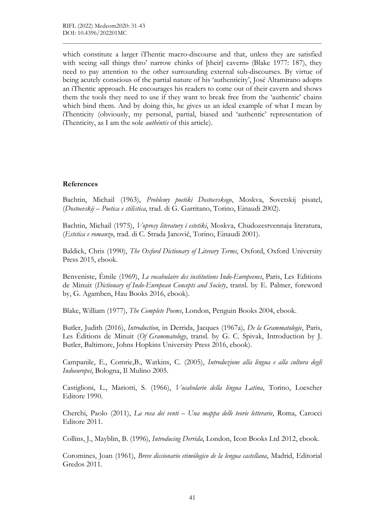which constitute a larger iThentic macro-discourse and that, unless they are satisfied with seeing «all things thro' narrow chinks of [their] cavern» (Blake 1977: 187), they need to pay attention to the other surrounding external sub-discourses. By virtue of being acutely conscious of the partial nature of his 'authenticity', José Altamirano adopts an iThentic approach. He encourages his readers to come out of their cavern and shows them the tools they need to use if they want to break free from the 'authentic' chains which bind them. And by doing this, he gives us an ideal example of what I mean by iThenticity (obviously, my personal, partial, biased and 'authentic' representation of iThenticity, as I am the sole authéntēs of this article).

 $\mathcal{L}_\mathcal{L} = \{ \mathcal{L}_\mathcal{L} = \{ \mathcal{L}_\mathcal{L} = \{ \mathcal{L}_\mathcal{L} = \{ \mathcal{L}_\mathcal{L} = \{ \mathcal{L}_\mathcal{L} = \{ \mathcal{L}_\mathcal{L} = \{ \mathcal{L}_\mathcal{L} = \{ \mathcal{L}_\mathcal{L} = \{ \mathcal{L}_\mathcal{L} = \{ \mathcal{L}_\mathcal{L} = \{ \mathcal{L}_\mathcal{L} = \{ \mathcal{L}_\mathcal{L} = \{ \mathcal{L}_\mathcal{L} = \{ \mathcal{L}_\mathcal{$ 

# References

Bachtin, Michail (1963), Problemy poetiki Dostoevskogo, Moskva, Sovetskij pisatel, (Dostoevskij – Poetica e stilistica, trad. di G. Garritano, Torino, Einaudi 2002).

Bachtin, Michail (1975), Voprosy literatury i estetiki, Moskva, Chudozestvennaja literatura, (Estetica e romanzo, trad. di C. Strada Janovič, Torino, Einaudi 2001).

Baldick, Chris (1990), The Oxford Dictionary of Literary Terms, Oxford, Oxford University Press 2015, ebook.

Benveniste, Émile (1969), Le vocabulaire des institutions Indo-Europeenes, Paris, Les Editions de Minuit (Dictionary of Indo-European Concepts and Society, transl. by E. Palmer, foreword by, G. Agamben, Hau Books 2016, ebook).

Blake, William (1977), The Complete Poems, London, Penguin Books 2004, ebook.

Butler, Judith (2016), Introduction, in Derrida, Jacques (1967a), De la Grammatologie, Paris, Les Éditions de Minuit (Of Grammatology, transl. by G. C. Spivak, Introduction by J. Butler, Baltimore, Johns Hopkins University Press 2016, ebook).

Campanile, E., Comrie,B., Watkins, C. (2005), Introduzione alla lingua e alla cultura degli Indoeuropei, Bologna, Il Mulino 2005.

Castiglioni, L., Mariotti, S. (1966), Vocabolario della lingua Latina, Torino, Loescher Editore 1990.

Cherchi, Paolo (2011), La rosa dei venti – Una mappa delle teorie letterarie, Roma, Carocci Editore 2011.

Collins, J., Mayblin, B. (1996), Introducing Derrida, London, Icon Books Ltd 2012, ebook.

Coromines, Joan (1961), Breve diccionario etimólogico de la lengua castellana, Madrid, Editorial Gredos 2011.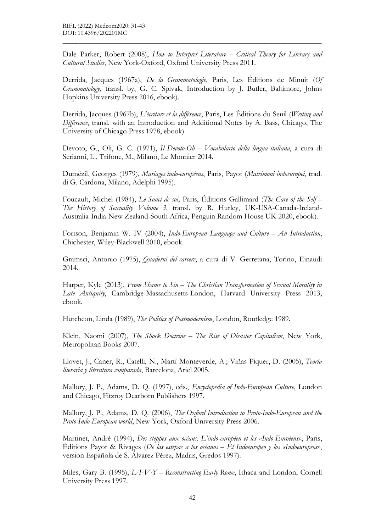Dale Parker, Robert (2008), How to Interpret Literature – Critical Theory for Literary and Cultural Studies, New York-Oxford, Oxford University Press 2011.

 $\mathcal{L}_\mathcal{L} = \{ \mathcal{L}_\mathcal{L} = \{ \mathcal{L}_\mathcal{L} = \{ \mathcal{L}_\mathcal{L} = \{ \mathcal{L}_\mathcal{L} = \{ \mathcal{L}_\mathcal{L} = \{ \mathcal{L}_\mathcal{L} = \{ \mathcal{L}_\mathcal{L} = \{ \mathcal{L}_\mathcal{L} = \{ \mathcal{L}_\mathcal{L} = \{ \mathcal{L}_\mathcal{L} = \{ \mathcal{L}_\mathcal{L} = \{ \mathcal{L}_\mathcal{L} = \{ \mathcal{L}_\mathcal{L} = \{ \mathcal{L}_\mathcal{$ 

Derrida, Jacques (1967a), De la Grammatologie, Paris, Les Éditions de Minuit (Of Grammatology, transl. by, G. C. Spivak, Introduction by J. Butler, Baltimore, Johns Hopkins University Press 2016, ebook).

Derrida, Jacques (1967b), L'écriture et la différence, Paris, Les Éditions du Seuil (Writing and Difference, transl. with an Introduction and Additional Notes by A. Bass, Chicago, The University of Chicago Press 1978, ebook).

Devoto, G., Oli, G. C. (1971), Il Devoto-Oli – Vocabolario della lingua italiana, a cura di Serianni, L., Trifone, M., Milano, Le Monnier 2014.

Dumézil, Georges (1979), Mariages indo-européens, Paris, Payot (Matrimoni indoeuropei, trad. di G. Cardona, Milano, Adelphi 1995).

Foucault, Michel (1984), Le Souci de soi, Paris, Éditions Gallimard (The Care of the Self – The History of Sexuality Volume 3, transl. by R. Hurley, UK-USA-Canada-Ireland-Australia-India-New Zealand-South Africa, Penguin Random House UK 2020, ebook).

Fortson, Benjamin W. IV (2004), Indo-European Language and Culture – An Introduction, Chichester, Wiley-Blackwell 2010, ebook.

Gramsci, Antonio (1975), Quaderni del carcere, a cura di V. Gerretana, Torino, Einaudi 2014.

Harper, Kyle (2013), From Shame to Sin – The Christian Transformation of Sexual Morality in Late Antiquity, Cambridge-Massachusetts-London, Harvard University Press 2013, ebook.

Hutcheon, Linda (1989), The Politics of Postmodernism, London, Routledge 1989.

Klein, Naomi (2007), The Shock Doctrine – The Rise of Disaster Capitalism, New York, Metropolitan Books 2007.

Llovet, J., Caner, R., Catelli, N., Martí Monteverde, A.; Viñas Piquer, D. (2005), Teoría literaria y literatura comparada, Barcelona, Ariel 2005.

Mallory, J. P., Adams, D. Q. (1997), eds., Encyclopedia of Indo-European Culture, London and Chicago, Fitzroy Dearborn Publishers 1997.

Mallory, J. P., Adams, D. Q. (2006), The Oxford Introduction to Proto-Indo-European and the Proto-Indo-European world, New York, Oxford University Press 2006.

Martinet, André (1994), Des steppes aux océans. L'indo-européen et les «Indo-Euroéens», Paris, Éditions Payot & Rivages (De las estepas a los océanos – El Indoeuropeo y los «Indoeuropeos», version Española de S. Álvarez Pérez, Madris, Gredos 1997).

Miles, Gary B. (1995),  $L \cdot I \cdot V \cdot Y$  – Reconstructing Early Rome, Ithaca and London, Cornell University Press 1997.